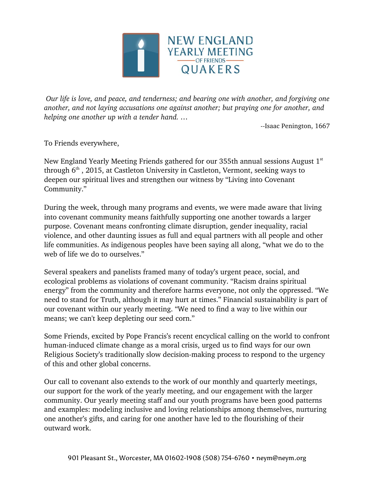

*Our life is love, and peace, and tenderness; and bearing one with another, and forgiving one another, and not laying accusations one against another; but praying one for another, and helping one another up with a tender hand. …*

--Isaac Penington, 1667

To Friends everywhere,

New England Yearly Meeting Friends gathered for our 355th annual sessions August  $1<sup>st</sup>$ through  $6<sup>th</sup>$ , 2015, at Castleton University in Castleton, Vermont, seeking ways to deepen our spiritual lives and strengthen our witness by "Living into Covenant Community."

During the week, through many programs and events, we were made aware that living into covenant community means faithfully supporting one another towards a larger purpose. Covenant means confronting climate disruption, gender inequality, racial violence, and other daunting issues as full and equal partners with all people and other life communities. As indigenous peoples have been saying all along, "what we do to the web of life we do to ourselves."

Several speakers and panelists framed many of today's urgent peace, social, and ecological problems as violations of covenant community. "Racism drains spiritual energy" from the community and therefore harms everyone, not only the oppressed. "We need to stand for Truth, although it may hurt at times." Financial sustainability is part of our covenant within our yearly meeting. "We need to find a way to live within our means; we can't keep depleting our seed corn."

Some Friends, excited by Pope Francis's recent encyclical calling on the world to confront human-induced climate change as a moral crisis, urged us to find ways for our own Religious Society's traditionally slow decision-making process to respond to the urgency of this and other global concerns.

Our call to covenant also extends to the work of our monthly and quarterly meetings, our support for the work of the yearly meeting, and our engagement with the larger community. Our yearly meeting staff and our youth programs have been good patterns and examples: modeling inclusive and loving relationships among themselves, nurturing one another's gifts, and caring for one another have led to the flourishing of their outward work.